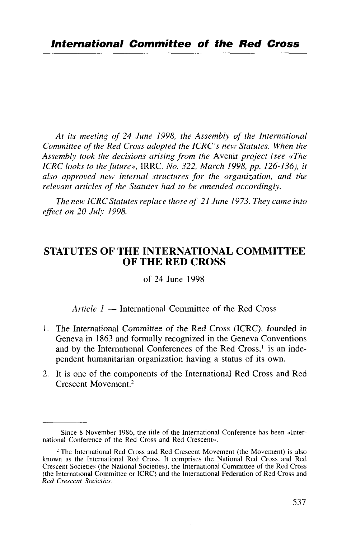*At its meeting of 24 June 1998, the Assembly of the International Committee of the Red Cross adopted the ICRC's new Statutes. When the Assembly took the decisions arising from the* Avenir *project (see «The ICRC looks to the future», IRRC, No. 322, March 1998, pp. 126-136), it also approved new internal structures for the organization, and the relevant articles of the Statutes had to be amended accordingly.*

*The new ICRC Statutes replace those of 21 June 1973. They came into effect on 20 July 1998.*

# STATUTES OF THE INTERNATIONAL COMMITTEE OF THE RED CROSS

of 24 June 1998

*Article 1* — International Committee of the Red Cross

- 1. The International Committee of the Red Cross (ICRC), founded in Geneva in 1863 and formally recognized in the Geneva Conventions and by the International Conferences of the Red Cross,<sup>1</sup> is an independent humanitarian organization having a status of its own.
- 2. It is one of the components of the International Red Cross and Red Crescent Movement.<sup>2</sup>

<sup>&</sup>lt;sup>1</sup> Since 8 November 1986, the title of the International Conference has been «International Conference of the Red Cross and Red Crescent».

<sup>&</sup>lt;sup>2</sup> The International Red Cross and Red Crescent Movement (the Movement) is also known as the International Red Cross. It comprises the National Red Cross and Red Crescent Societies (the National Societies), the International Committee of the Red Cross (the International Committee or ICRC) and the International Federation of Red Cross and *Red Crescent Societies.*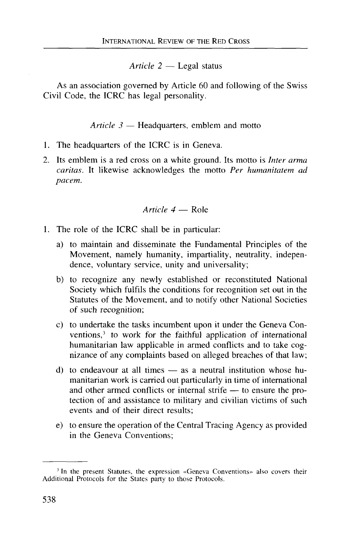*Article 2* — Legal status

As an association governed by Article 60 and following of the Swiss Civil Code, the ICRC has legal personality.

*Article 3* — Headquarters, emblem and motto

- 1. The headquarters of the ICRC is in Geneva.
- 2. Its emblem is a red cross on a white ground. Its motto is *Inter arma caritas.* It likewise acknowledges the motto *Per humanitatem ad pacem.*

### *Article 4* — Role

- 1. The role of the ICRC shall be in particular:
	- a) to maintain and disseminate the Fundamental Principles of the Movement, namely humanity, impartiality, neutrality, independence, voluntary service, unity and universality;
	- b) to recognize any newly established or reconstituted National Society which fulfils the conditions for recognition set out in the Statutes of the Movement, and to notify other National Societies of such recognition;
	- c) to undertake the tasks incumbent upon it under the Geneva Conventions,<sup>3</sup> to work for the faithful application of international humanitarian law applicable in armed conflicts and to take cognizance of any complaints based on alleged breaches of that law;
	- d) to endeavour at all times as a neutral institution whose humanitarian work is carried out particularly in time of international and other armed conflicts or internal strife — to ensure the protection of and assistance to military and civilian victims of such events and of their direct results;
	- e) to ensure the operation of the Central Tracing Agency as provided in the Geneva Conventions;

<sup>&</sup>lt;sup>3</sup> In the present Statutes, the expression «Geneva Conventions» also covers their Additional Protocols for the States party to those Protocols.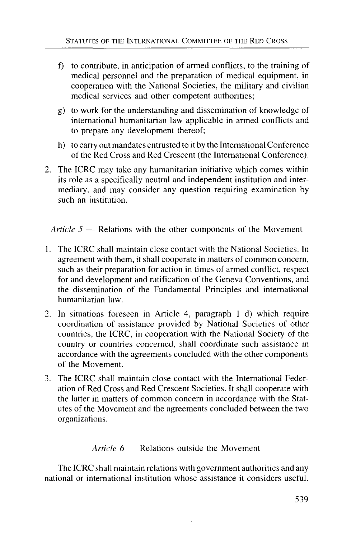- f) to contribute, in anticipation of armed conflicts, to the training of medical personnel and the preparation of medical equipment, in cooperation with the National Societies, the military and civilian medical services and other competent authorities;
- g) to work for the understanding and dissemination of knowledge of international humanitarian law applicable in armed conflicts and to prepare any development thereof;
- h) to carry out mandates entrusted to it by the International Conference of the Red Cross and Red Crescent (the International Conference).
- The ICRC may take any humanitarian initiative which comes within its role as a specifically neutral and independent institution and intermediary, and may consider any question requiring examination by such an institution.

*Article 5* — Relations with the other components of the Movement

- 1. The ICRC shall maintain close contact with the National Societies. In agreement with them, it shall cooperate in matters of common concern, such as their preparation for action in times of armed conflict, respect for and development and ratification of the Geneva Conventions, and the dissemination of the Fundamental Principles and international humanitarian law.
- 2. In situations foreseen in Article 4, paragraph 1 d) which require coordination of assistance provided by National Societies of other countries, the ICRC, in cooperation with the National Society of the country or countries concerned, shall coordinate such assistance in accordance with the agreements concluded with the other components of the Movement.
- 3. The ICRC shall maintain close contact with the International Federation of Red Cross and Red Crescent Societies. It shall cooperate with the latter in matters of common concern in accordance with the Statutes of the Movement and the agreements concluded between the two organizations.

## *Article 6* — Relations outside the Movement

The ICRC shall maintain relations with government authorities and any national or international institution whose assistance it considers useful.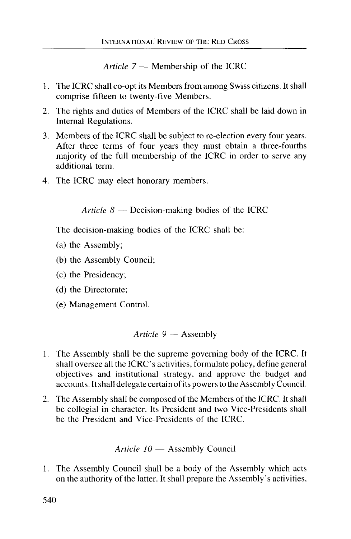*Article 7* — Membership of the ICRC

- 1. The ICRC shall co-opt its Members from among Swiss citizens. It shall comprise fifteen to twenty-five Members.
- 2. The rights and duties of Members of the ICRC shall be laid down in Internal Regulations.
- 3. Members of the ICRC shall be subject to re-election every four years. After three terms of four years they must obtain a three-fourths majority of the full membership of the ICRC in order to serve any additional term.
- 4. The ICRC may elect honorary members.

*Article 8* — Decision-making bodies of the ICRC

The decision-making bodies of the ICRC shall be:

- (a) the Assembly;
- (b) the Assembly Council;
- (c) the Presidency;
- (d) the Directorate;
- (e) Management Control.

# *Article 9* — Assembly

- 1. The Assembly shall be the supreme governing body of the ICRC. It shall oversee all the ICRC's activities, formulate policy, define general objectives and institutional strategy, and approve the budget and accounts. It shall delegate certain of its powers to the Assembly Council.
- 2. The Assembly shall be composed of the Members of the ICRC. It shall be collegial in character. Its President and two Vice-Presidents shall be the President and Vice-Presidents of the ICRC.

Article 
$$
10
$$
 — Assembly Council

1. The Assembly Council shall be a body of the Assembly which acts on the authority of the latter. It shall prepare the Assembly's activities,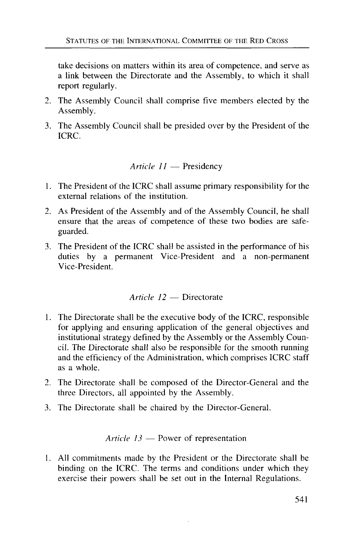take decisions on matters within its area of competence, and serve as a link between the Directorate and the Assembly, to which it shall report regularly.

- 2. The Assembly Council shall comprise five members elected by the Assembly.
- 3. The Assembly Council shall be presided over by the President of the ICRC.

*Article 11* — Presidency

- 1. The President of the ICRC shall assume primary responsibility for the external relations of the institution.
- 2. As President of the Assembly and of the Assembly Council, he shall ensure that the areas of competence of these two bodies are safeguarded.
- 3. The President of the ICRC shall be assisted in the performance of his duties by a permanent Vice-President and a non-permanent Vice-President.

## *Article 12* — Directorate

- 1. The Directorate shall be the executive body of the ICRC, responsible for applying and ensuring application of the general objectives and institutional strategy defined by the Assembly or the Assembly Council. The Directorate shall also be responsible for the smooth running and the efficiency of the Administration, which comprises ICRC staff as a whole.
- 2. The Directorate shall be composed of the Director-General and the three Directors, all appointed by the Assembly.
- 3. The Directorate shall be chaired by the Director-General.

### *Article 13* — Power of representation

All commitments made by the President or the Directorate shall be binding on the ICRC. The terms and conditions under which they exercise their powers shall be set out in the Internal Regulations.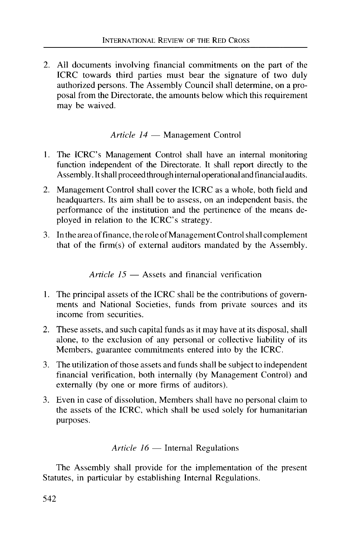2. All documents involving financial commitments on the part of the ICRC towards third parties must bear the signature of two duly authorized persons. The Assembly Council shall determine, on a proposal from the Directorate, the amounts below which this requirement may be waived.

*Article 14* — Management Control

- 1. The ICRC's Management Control shall have an internal monitoring function independent of the Directorate. It shall report directly to the Assembly. It shall proceed through internal operational and financial audits.
- 2. Management Control shall cover the ICRC as a whole, both field and headquarters. Its aim shall be to assess, on an independent basis, the performance of the institution and the pertinence of the means deployed in relation to the ICRC's strategy.
- 3. In the area of finance, the role of Management Control shall complement that of the firm(s) of external auditors mandated by the Assembly.

*Article 15* — Assets and financial verification

- 1. The principal assets of the ICRC shall be the contributions of governments and National Societies, funds from private sources and its income from securities.
- 2. These assets, and such capital funds as it may have at its disposal, shall alone, to the exclusion of any personal or collective liability of its Members, guarantee commitments entered into by the ICRC.
- 3. The utilization of those assets and funds shall be subject to independent financial verification, both internally (by Management Control) and externally (by one or more firms of auditors).
- 3. Even in case of dissolution, Members shall have no personal claim to the assets of the ICRC, which shall be used solely for humanitarian purposes.

*Article 16* — Internal Regulations

The Assembly shall provide for the implementation of the present Statutes, in particular by establishing Internal Regulations.